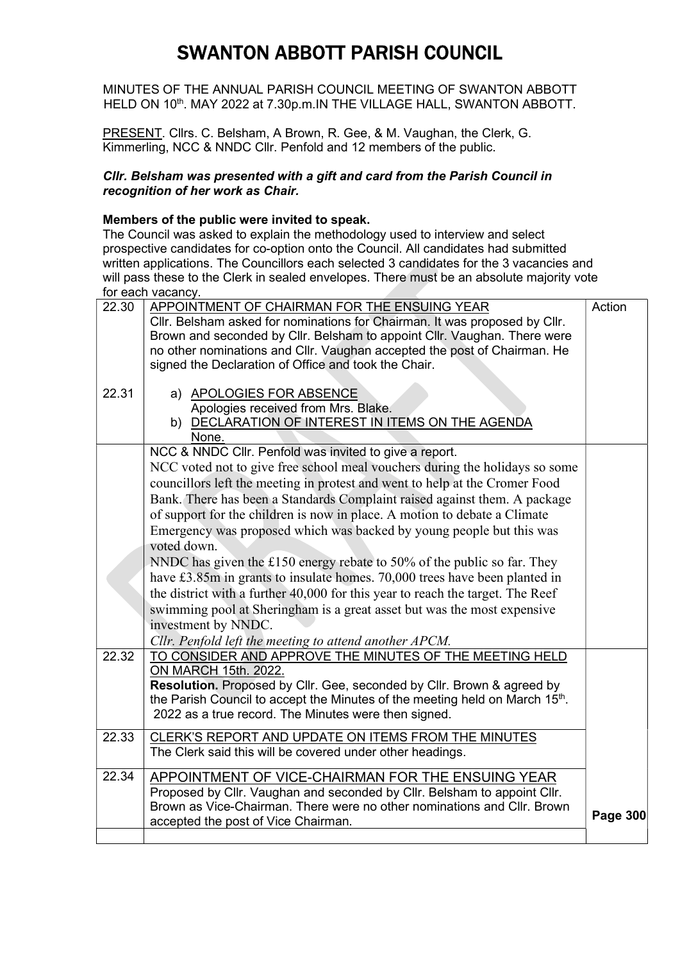MINUTES OF THE ANNUAL PARISH COUNCIL MEETING OF SWANTON ABBOTT HELD ON 10<sup>th</sup>. MAY 2022 at 7.30p.m. IN THE VILLAGE HALL, SWANTON ABBOTT.

PRESENT. Cllrs. C. Belsham, A Brown, R. Gee, & M. Vaughan, the Clerk, G. Kimmerling, NCC & NNDC Cllr. Penfold and 12 members of the public.

#### Cllr. Belsham was presented with a gift and card from the Parish Council in recognition of her work as Chair.

#### Members of the public were invited to speak.

The Council was asked to explain the methodology used to interview and select prospective candidates for co-option onto the Council. All candidates had submitted written applications. The Councillors each selected 3 candidates for the 3 vacancies and will pass these to the Clerk in sealed envelopes. There must be an absolute majority vote for each vacancy.

| 22.30 | APPOINTMENT OF CHAIRMAN FOR THE ENSUING YEAR                                   | Action          |
|-------|--------------------------------------------------------------------------------|-----------------|
|       | Cllr. Belsham asked for nominations for Chairman. It was proposed by Cllr.     |                 |
|       | Brown and seconded by Cllr. Belsham to appoint Cllr. Vaughan. There were       |                 |
|       | no other nominations and Cllr. Vaughan accepted the post of Chairman. He       |                 |
|       | signed the Declaration of Office and took the Chair.                           |                 |
|       |                                                                                |                 |
| 22.31 | a) APOLOGIES FOR ABSENCE                                                       |                 |
|       | Apologies received from Mrs. Blake.                                            |                 |
|       | b) DECLARATION OF INTEREST IN ITEMS ON THE AGENDA                              |                 |
|       | None.                                                                          |                 |
|       | NCC & NNDC Cllr. Penfold was invited to give a report.                         |                 |
|       | NCC voted not to give free school meal vouchers during the holidays so some    |                 |
|       | councillors left the meeting in protest and went to help at the Cromer Food    |                 |
|       | Bank. There has been a Standards Complaint raised against them. A package      |                 |
|       | of support for the children is now in place. A motion to debate a Climate      |                 |
|       | Emergency was proposed which was backed by young people but this was           |                 |
|       | voted down.                                                                    |                 |
|       | NNDC has given the £150 energy rebate to 50% of the public so far. They        |                 |
|       | have £3.85m in grants to insulate homes. 70,000 trees have been planted in     |                 |
|       | the district with a further 40,000 for this year to reach the target. The Reef |                 |
|       | swimming pool at Sheringham is a great asset but was the most expensive        |                 |
|       | investment by NNDC.                                                            |                 |
|       | Cllr. Penfold left the meeting to attend another APCM.                         |                 |
| 22.32 | TO CONSIDER AND APPROVE THE MINUTES OF THE MEETING HELD                        |                 |
|       | ON MARCH 15th. 2022.                                                           |                 |
|       | <b>Resolution.</b> Proposed by Cllr. Gee, seconded by Cllr. Brown & agreed by  |                 |
|       | the Parish Council to accept the Minutes of the meeting held on March 15th.    |                 |
|       | 2022 as a true record. The Minutes were then signed.                           |                 |
|       |                                                                                |                 |
| 22.33 | CLERK'S REPORT AND UPDATE ON ITEMS FROM THE MINUTES                            |                 |
|       | The Clerk said this will be covered under other headings.                      |                 |
| 22.34 | APPOINTMENT OF VICE-CHAIRMAN FOR THE ENSUING YEAR                              |                 |
|       | Proposed by Cllr. Vaughan and seconded by Cllr. Belsham to appoint Cllr.       |                 |
|       | Brown as Vice-Chairman. There were no other nominations and Cllr. Brown        |                 |
|       | accepted the post of Vice Chairman.                                            | <b>Page 300</b> |
|       |                                                                                |                 |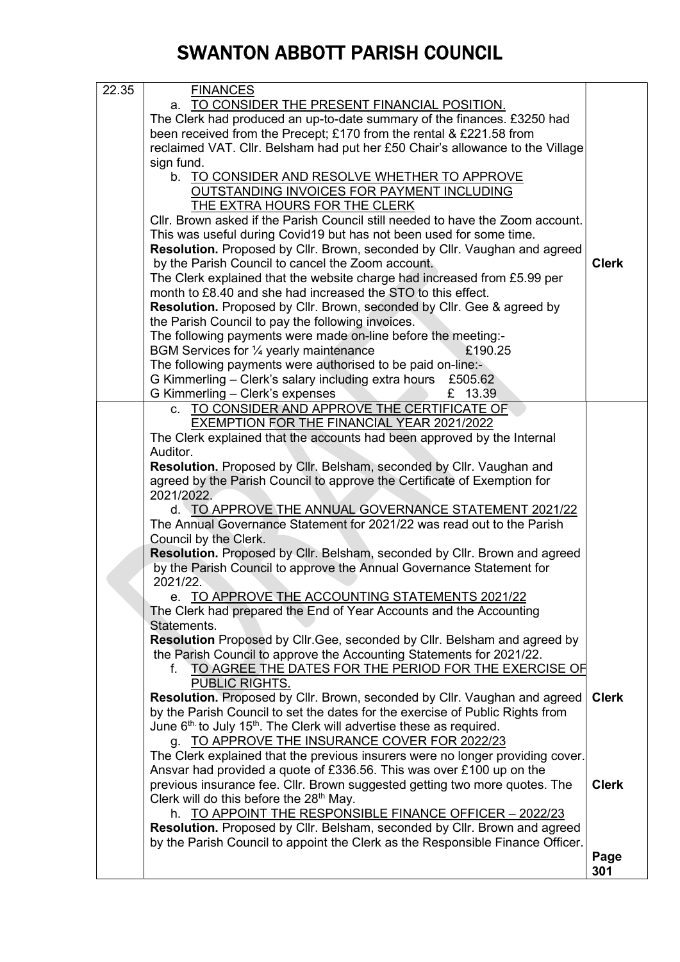| 22.35 | <b>FINANCES</b>                                                                   |              |
|-------|-----------------------------------------------------------------------------------|--------------|
|       | a. TO CONSIDER THE PRESENT FINANCIAL POSITION.                                    |              |
|       | The Clerk had produced an up-to-date summary of the finances. £3250 had           |              |
|       | been received from the Precept; £170 from the rental & £221.58 from               |              |
|       | reclaimed VAT. Cllr. Belsham had put her £50 Chair's allowance to the Village     |              |
|       | sign fund.                                                                        |              |
|       | b. TO CONSIDER AND RESOLVE WHETHER TO APPROVE                                     |              |
|       | OUTSTANDING INVOICES FOR PAYMENT INCLUDING                                        |              |
|       | <b>THE EXTRA HOURS FOR THE CLERK</b>                                              |              |
|       | Cllr. Brown asked if the Parish Council still needed to have the Zoom account.    |              |
|       | This was useful during Covid19 but has not been used for some time.               |              |
|       | Resolution. Proposed by Cllr. Brown, seconded by Cllr. Vaughan and agreed         |              |
|       | by the Parish Council to cancel the Zoom account.                                 | <b>Clerk</b> |
|       | The Clerk explained that the website charge had increased from £5.99 per          |              |
|       | month to £8.40 and she had increased the STO to this effect.                      |              |
|       | Resolution. Proposed by Cllr. Brown, seconded by Cllr. Gee & agreed by            |              |
|       | the Parish Council to pay the following invoices.                                 |              |
|       | The following payments were made on-line before the meeting:-                     |              |
|       | BGM Services for 1/4 yearly maintenance<br>£190.25                                |              |
|       | The following payments were authorised to be paid on-line:-                       |              |
|       | G Kimmerling - Clerk's salary including extra hours £505.62                       |              |
|       | G Kimmerling - Clerk's expenses<br>£ 13.39                                        |              |
|       | c. TO CONSIDER AND APPROVE THE CERTIFICATE OF                                     |              |
|       | <b>EXEMPTION FOR THE FINANCIAL YEAR 2021/2022</b>                                 |              |
|       | The Clerk explained that the accounts had been approved by the Internal           |              |
|       | Auditor.                                                                          |              |
|       | Resolution. Proposed by Cllr. Belsham, seconded by Cllr. Vaughan and              |              |
|       | agreed by the Parish Council to approve the Certificate of Exemption for          |              |
|       | 2021/2022.                                                                        |              |
|       | d. TO APPROVE THE ANNUAL GOVERNANCE STATEMENT 2021/22                             |              |
|       | The Annual Governance Statement for 2021/22 was read out to the Parish            |              |
|       | Council by the Clerk.                                                             |              |
|       | Resolution. Proposed by Cllr. Belsham, seconded by Cllr. Brown and agreed         |              |
|       | by the Parish Council to approve the Annual Governance Statement for              |              |
|       | 2021/22.                                                                          |              |
|       | e. TO APPROVE THE ACCOUNTING STATEMENTS 2021/22                                   |              |
|       | The Clerk had prepared the End of Year Accounts and the Accounting                |              |
|       | Statements.                                                                       |              |
|       | Resolution Proposed by Cllr. Gee, seconded by Cllr. Belsham and agreed by         |              |
|       | the Parish Council to approve the Accounting Statements for 2021/22.              |              |
|       | TO AGREE THE DATES FOR THE PERIOD FOR THE EXERCISE OF<br>f                        |              |
|       | PUBLIC RIGHTS.                                                                    |              |
|       | Resolution. Proposed by Cllr. Brown, seconded by Cllr. Vaughan and agreed         | <b>Clerk</b> |
|       | by the Parish Council to set the dates for the exercise of Public Rights from     |              |
|       | June $6th$ to July 15 <sup>th</sup> . The Clerk will advertise these as required. |              |
|       | g. TO APPROVE THE INSURANCE COVER FOR 2022/23                                     |              |
|       | The Clerk explained that the previous insurers were no longer providing cover.    |              |
|       | Ansvar had provided a quote of £336.56. This was over £100 up on the              |              |
|       | previous insurance fee. Cllr. Brown suggested getting two more quotes. The        | <b>Clerk</b> |
|       | Clerk will do this before the 28 <sup>th</sup> May.                               |              |
|       | h. TO APPOINT THE RESPONSIBLE FINANCE OFFICER - 2022/23                           |              |
|       | Resolution. Proposed by Cllr. Belsham, seconded by Cllr. Brown and agreed         |              |
|       | by the Parish Council to appoint the Clerk as the Responsible Finance Officer.    |              |
|       |                                                                                   | Page         |
|       |                                                                                   | 301          |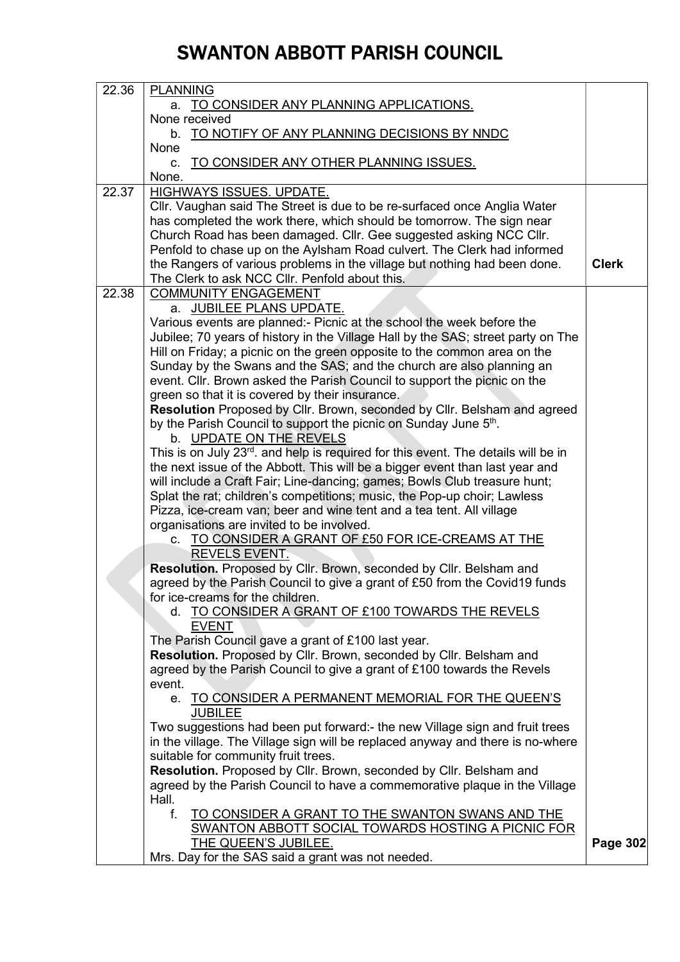| 22.36 | <b>PLANNING</b>                                                                                |                 |
|-------|------------------------------------------------------------------------------------------------|-----------------|
|       | a. TO CONSIDER ANY PLANNING APPLICATIONS.                                                      |                 |
|       | None received                                                                                  |                 |
|       | b. TO NOTIFY OF ANY PLANNING DECISIONS BY NNDC                                                 |                 |
|       | None                                                                                           |                 |
|       |                                                                                                |                 |
|       | TO CONSIDER ANY OTHER PLANNING ISSUES.<br>C.                                                   |                 |
|       | None.                                                                                          |                 |
| 22.37 | <b>HIGHWAYS ISSUES. UPDATE.</b>                                                                |                 |
|       | Cllr. Vaughan said The Street is due to be re-surfaced once Anglia Water                       |                 |
|       | has completed the work there, which should be tomorrow. The sign near                          |                 |
|       | Church Road has been damaged. Cllr. Gee suggested asking NCC Cllr.                             |                 |
|       | Penfold to chase up on the Aylsham Road culvert. The Clerk had informed                        |                 |
|       | the Rangers of various problems in the village but nothing had been done.                      | <b>Clerk</b>    |
|       | The Clerk to ask NCC Cllr. Penfold about this.                                                 |                 |
| 22.38 | <b>COMMUNITY ENGAGEMENT</b>                                                                    |                 |
|       | a. JUBILEE PLANS UPDATE.                                                                       |                 |
|       |                                                                                                |                 |
|       | Various events are planned:- Picnic at the school the week before the                          |                 |
|       | Jubilee; 70 years of history in the Village Hall by the SAS; street party on The               |                 |
|       | Hill on Friday; a picnic on the green opposite to the common area on the                       |                 |
|       | Sunday by the Swans and the SAS; and the church are also planning an                           |                 |
|       | event. Cllr. Brown asked the Parish Council to support the picnic on the                       |                 |
|       | green so that it is covered by their insurance.                                                |                 |
|       | Resolution Proposed by Cllr. Brown, seconded by Cllr. Belsham and agreed                       |                 |
|       | by the Parish Council to support the picnic on Sunday June 5 <sup>th</sup> .                   |                 |
|       | b. UPDATE ON THE REVELS                                                                        |                 |
|       | This is on July 23 <sup>rd</sup> . and help is required for this event. The details will be in |                 |
|       | the next issue of the Abbott. This will be a bigger event than last year and                   |                 |
|       |                                                                                                |                 |
|       | will include a Craft Fair; Line-dancing; games; Bowls Club treasure hunt;                      |                 |
|       | Splat the rat; children's competitions; music, the Pop-up choir; Lawless                       |                 |
|       | Pizza, ice-cream van; beer and wine tent and a tea tent. All village                           |                 |
|       | organisations are invited to be involved.                                                      |                 |
|       | c. TO CONSIDER A GRANT OF £50 FOR ICE-CREAMS AT THE                                            |                 |
|       | <b>REVELS EVENT.</b>                                                                           |                 |
|       | Resolution. Proposed by Cllr. Brown, seconded by Cllr. Belsham and                             |                 |
|       | agreed by the Parish Council to give a grant of £50 from the Covid19 funds                     |                 |
|       | for ice-creams for the children.                                                               |                 |
|       | d. TO CONSIDER A GRANT OF £100 TOWARDS THE REVELS                                              |                 |
|       | <b>EVENT</b>                                                                                   |                 |
|       | The Parish Council gave a grant of £100 last year.                                             |                 |
|       | Resolution. Proposed by Cllr. Brown, seconded by Cllr. Belsham and                             |                 |
|       | agreed by the Parish Council to give a grant of £100 towards the Revels                        |                 |
|       |                                                                                                |                 |
|       | event.                                                                                         |                 |
|       | e. TO CONSIDER A PERMANENT MEMORIAL FOR THE QUEEN'S                                            |                 |
|       | <b>JUBILEE</b>                                                                                 |                 |
|       | Two suggestions had been put forward:- the new Village sign and fruit trees                    |                 |
|       | in the village. The Village sign will be replaced anyway and there is no-where                 |                 |
|       | suitable for community fruit trees.                                                            |                 |
|       | Resolution. Proposed by Cllr. Brown, seconded by Cllr. Belsham and                             |                 |
|       | agreed by the Parish Council to have a commemorative plaque in the Village                     |                 |
|       | Hall.                                                                                          |                 |
|       | $f_{\perp}$<br>TO CONSIDER A GRANT TO THE SWANTON SWANS AND THE                                |                 |
|       | SWANTON ABBOTT SOCIAL TOWARDS HOSTING A PICNIC FOR                                             |                 |
|       | THE QUEEN'S JUBILEE.                                                                           | <b>Page 302</b> |
|       | Mrs. Day for the SAS said a grant was not needed.                                              |                 |
|       |                                                                                                |                 |